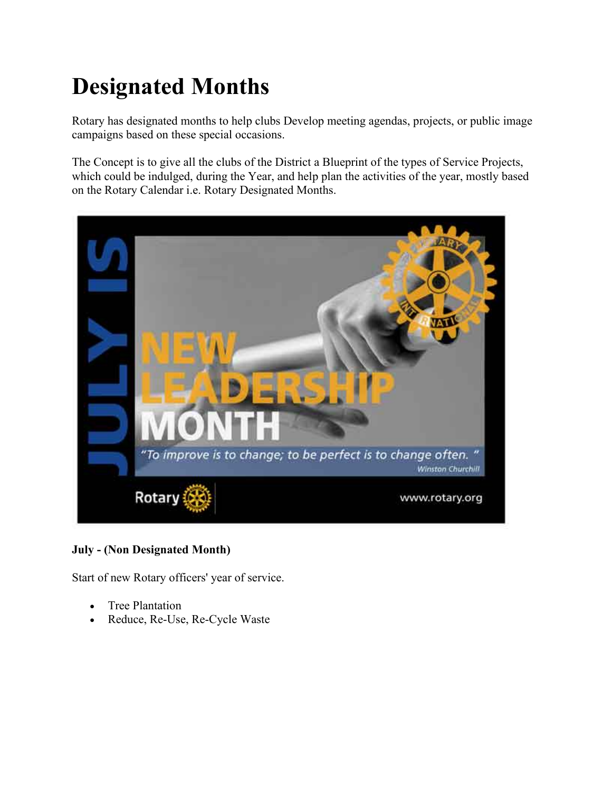# **Designated Months**

Rotary has designated months to help clubs Develop meeting agendas, projects, or public image campaigns based on these special occasions.

The Concept is to give all the clubs of the District a Blueprint of the types of Service Projects, which could be indulged, during the Year, and help plan the activities of the year, mostly based on the Rotary Calendar i.e. Rotary Designated Months.



# **July - (Non Designated Month)**

Start of new Rotary officers' year of service.

- Tree Plantation
- Reduce, Re-Use, Re-Cycle Waste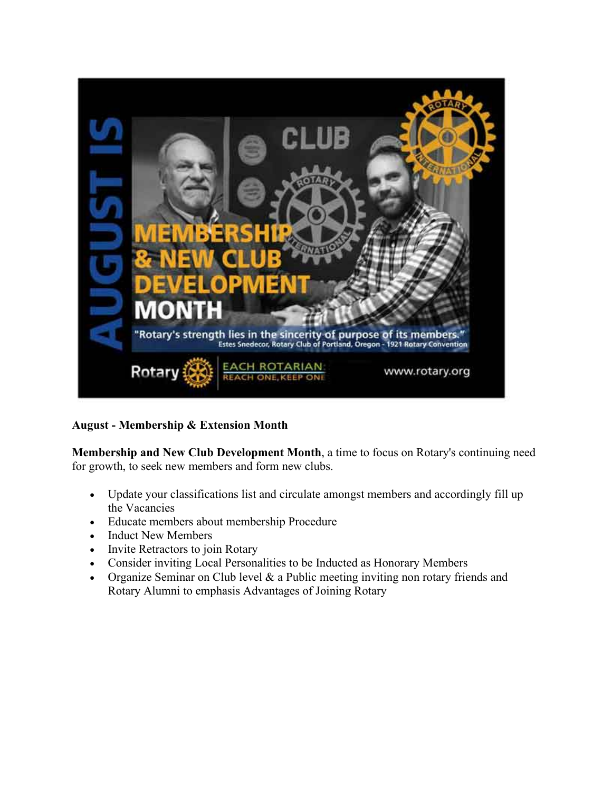

**August - Membership & Extension Month**

**Membership and New Club Development Month**, a time to focus on Rotary's continuing need for growth, to seek new members and form new clubs.

- Update your classifications list and circulate amongst members and accordingly fill up the Vacancies
- Educate members about membership Procedure
- Induct New Members
- Invite Retractors to join Rotary
- Consider inviting Local Personalities to be Inducted as Honorary Members
- Organize Seminar on Club level & a Public meeting inviting non rotary friends and Rotary Alumni to emphasis Advantages of Joining Rotary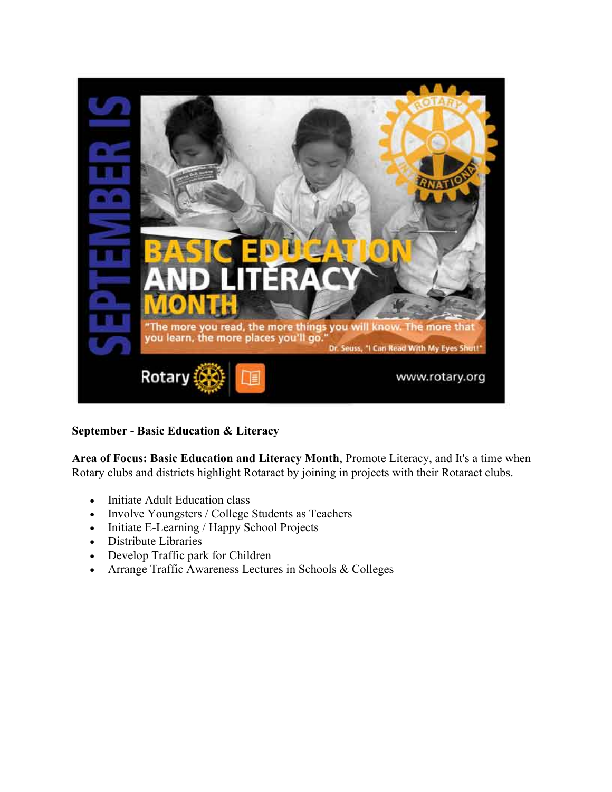

#### **September - Basic Education & Literacy**

**Area of Focus: Basic Education and Literacy Month**, Promote Literacy, and It's a time when Rotary clubs and districts highlight Rotaract by joining in projects with their Rotaract clubs.

- Initiate Adult Education class
- Involve Youngsters / College Students as Teachers
- Initiate E-Learning / Happy School Projects
- Distribute Libraries
- Develop Traffic park for Children
- Arrange Traffic Awareness Lectures in Schools & Colleges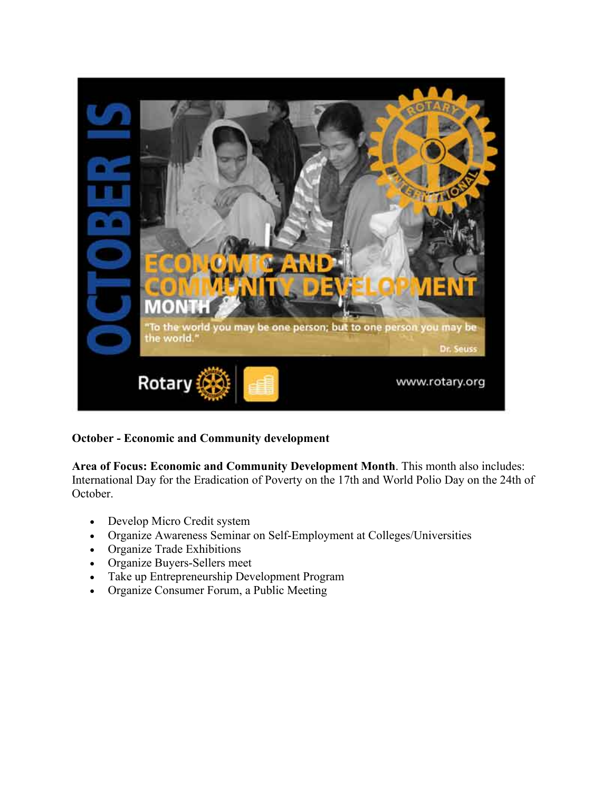

#### **October - Economic and Community development**

**Area of Focus: Economic and Community Development Month**. This month also includes: International Day for the Eradication of Poverty on the 17th and World Polio Day on the 24th of October.

- Develop Micro Credit system
- Organize Awareness Seminar on Self-Employment at Colleges/Universities
- Organize Trade Exhibitions
- Organize Buyers-Sellers meet
- Take up Entrepreneurship Development Program
- Organize Consumer Forum, a Public Meeting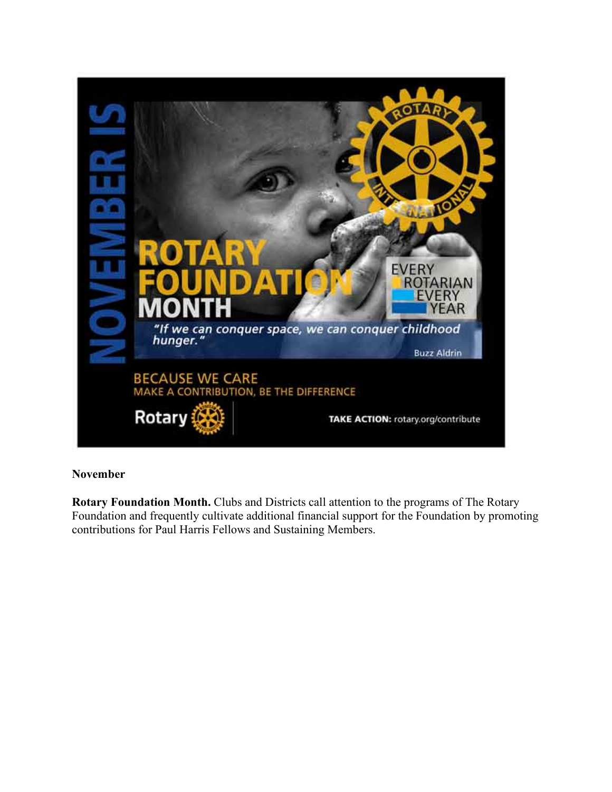

#### **November**

**Rotary Foundation Month.** Clubs and Districts call attention to the programs of The Rotary Foundation and frequently cultivate additional financial support for the Foundation by promoting contributions for Paul Harris Fellows and Sustaining Members.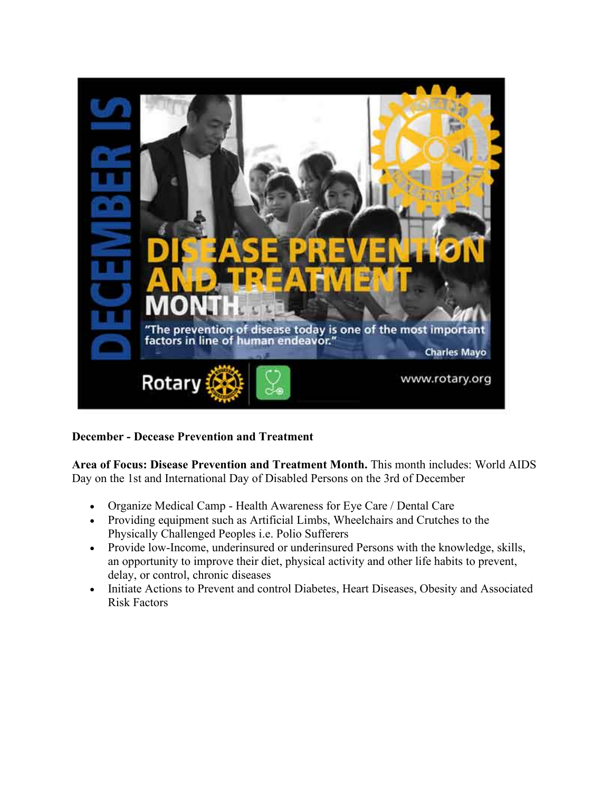

# **December - Decease Prevention and Treatment**

**Area of Focus: Disease Prevention and Treatment Month.** This month includes: World AIDS Day on the 1st and International Day of Disabled Persons on the 3rd of December

- Organize Medical Camp Health Awareness for Eye Care / Dental Care
- Providing equipment such as Artificial Limbs, Wheelchairs and Crutches to the Physically Challenged Peoples i.e. Polio Sufferers
- Provide low-Income, underinsured or underinsured Persons with the knowledge, skills, an opportunity to improve their diet, physical activity and other life habits to prevent, delay, or control, chronic diseases
- Initiate Actions to Prevent and control Diabetes, Heart Diseases, Obesity and Associated Risk Factors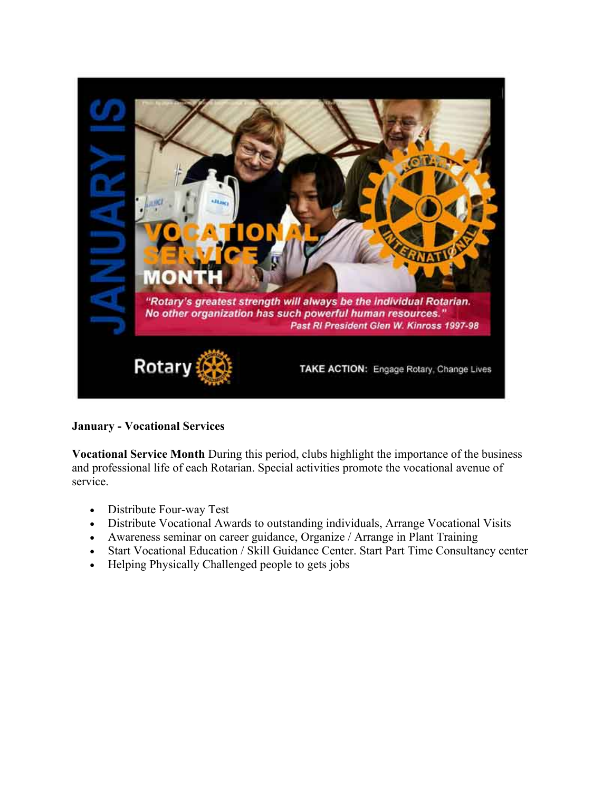

**January - Vocational Services**

**Vocational Service Month** During this period, clubs highlight the importance of the business and professional life of each Rotarian. Special activities promote the vocational avenue of service.

- Distribute Four-way Test
- Distribute Vocational Awards to outstanding individuals, Arrange Vocational Visits
- Awareness seminar on career guidance, Organize / Arrange in Plant Training
- Start Vocational Education / Skill Guidance Center. Start Part Time Consultancy center
- Helping Physically Challenged people to gets jobs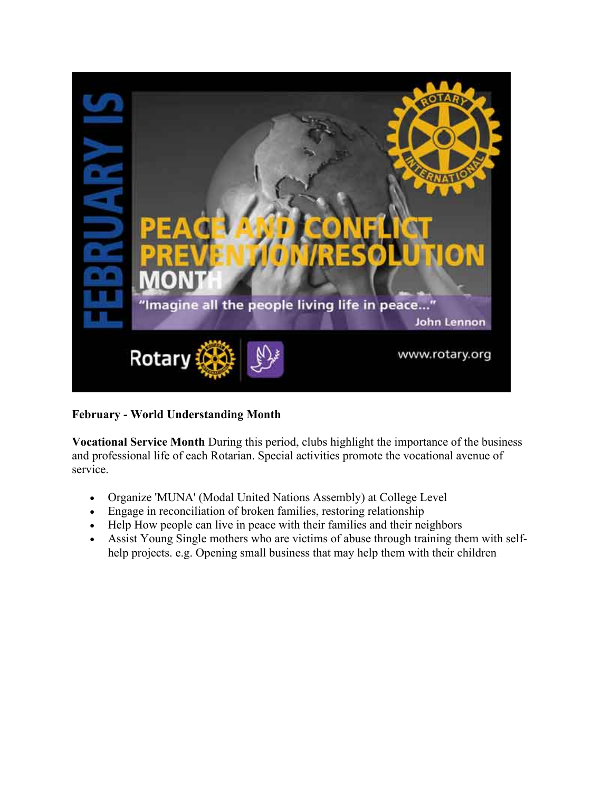

# **February - World Understanding Month**

**Vocational Service Month** During this period, clubs highlight the importance of the business and professional life of each Rotarian. Special activities promote the vocational avenue of service.

- Organize 'MUNA' (Modal United Nations Assembly) at College Level
- Engage in reconciliation of broken families, restoring relationship
- Help How people can live in peace with their families and their neighbors
- Assist Young Single mothers who are victims of abuse through training them with selfhelp projects. e.g. Opening small business that may help them with their children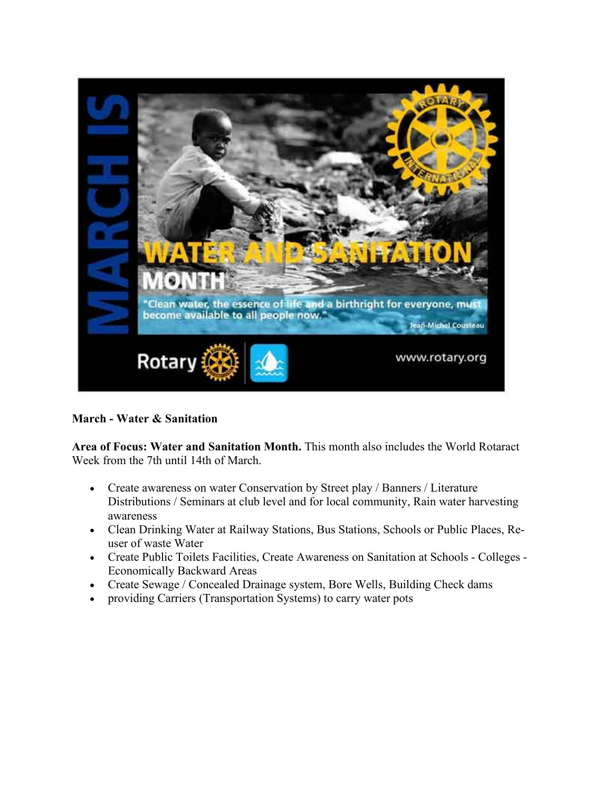

#### **March - Water & Sanitation**

**Area of Focus: Water and Sanitation Month.** This month also includes the World Rotaract Week from the 7th until 14th of March.

- Create awareness on water Conservation by Street play / Banners / Literature Distributions / Seminars at club level and for local community, Rain water harvesting awareness
- Clean Drinking Water at Railway Stations, Bus Stations, Schools or Public Places, Reuser of waste Water
- Create Public Toilets Facilities, Create Awareness on Sanitation at Schools Colleges Economically Backward Areas
- Create Sewage / Concealed Drainage system, Bore Wells, Building Check dams
- providing Carriers (Transportation Systems) to carry water pots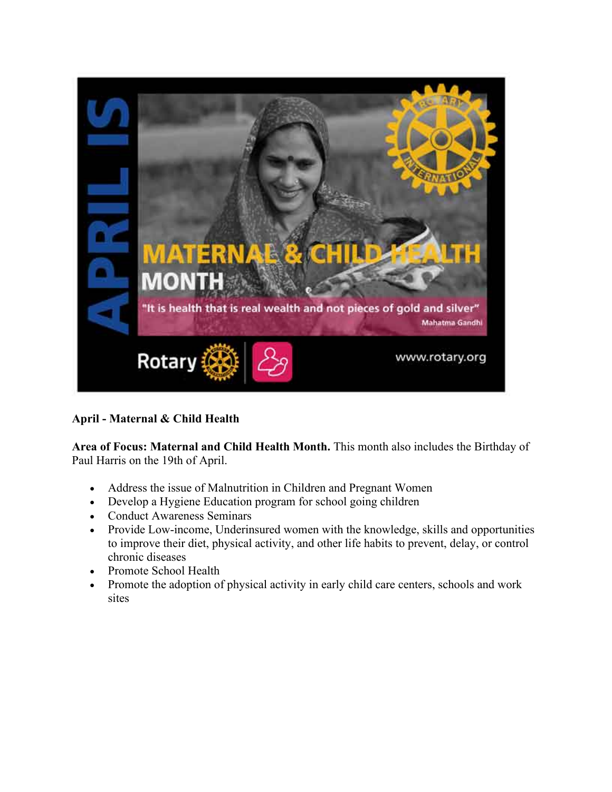

# **April - Maternal & Child Health**

**Area of Focus: Maternal and Child Health Month.** This month also includes the Birthday of Paul Harris on the 19th of April.

- Address the issue of Malnutrition in Children and Pregnant Women
- Develop a Hygiene Education program for school going children
- Conduct Awareness Seminars
- Provide Low-income, Underinsured women with the knowledge, skills and opportunities to improve their diet, physical activity, and other life habits to prevent, delay, or control chronic diseases
- Promote School Health
- Promote the adoption of physical activity in early child care centers, schools and work sites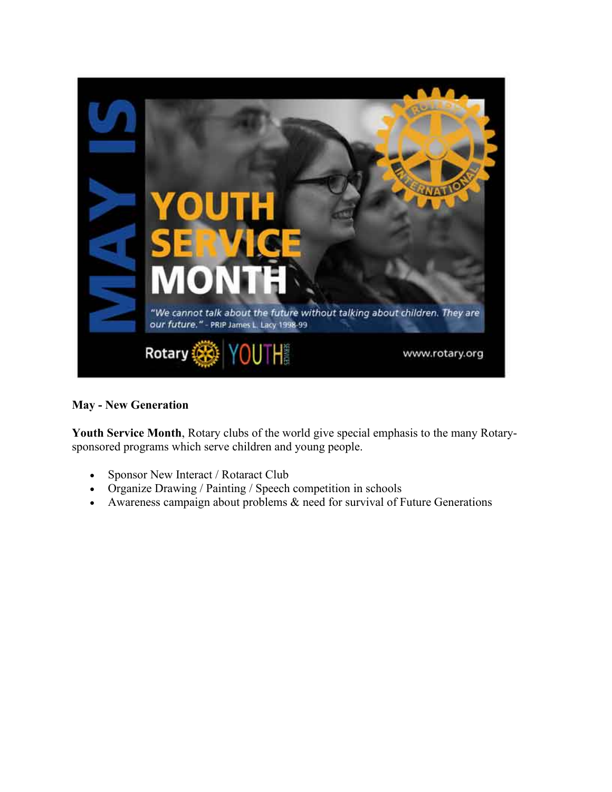

#### **May - New Generation**

**Youth Service Month**, Rotary clubs of the world give special emphasis to the many Rotarysponsored programs which serve children and young people.

- Sponsor New Interact / Rotaract Club
- Organize Drawing / Painting / Speech competition in schools
- Awareness campaign about problems  $&$  need for survival of Future Generations